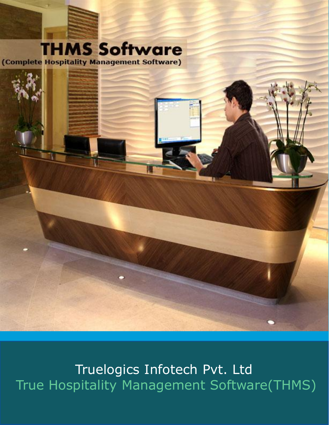

Truelogics Infotech Pvt. Ltd True Hospitality Management Software(THMS)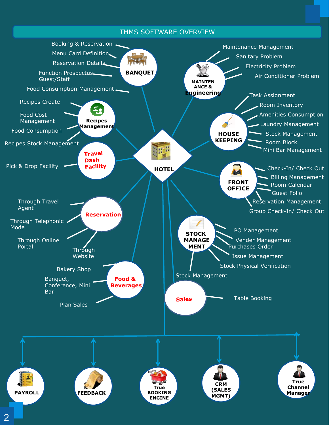#### THMS SOFTWARE OVERVIEW

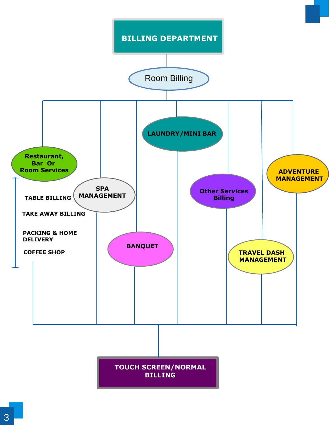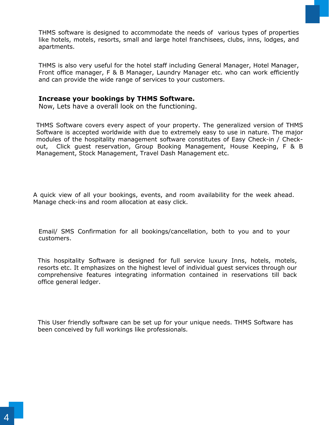THMS software is designed to accommodate the needs of various types of properties like hotels, motels, resorts, small and large hotel franchisees, clubs, inns, lodges, and apartments.

THMS is also very useful for the hotel staff including General Manager, Hotel Manager, Front office manager, F & B Manager, Laundry Manager etc. who can work efficiently and can provide the wide range of services to your customers.

#### **Increase your bookings by THMS Software.**

Now, Lets have a overall look on the functioning.

THMS Software covers every aspect of your property. The generalized version of THMS Software is accepted worldwide with due to extremely easy to use in nature. The major modules of the hospitality management software constitutes of Easy Check-in / Checkout, Click guest reservation, Group Booking Management, House Keeping, F & B Management, Stock Management, Travel Dash Management etc.

A quick view of all your bookings, events, and room availability for the week ahead. Manage check-ins and room allocation at easy click.

Email/ SMS Confirmation for all bookings/cancellation, both to you and to your customers.

This hospitality Software is designed for full service luxury Inns, hotels, motels, resorts etc. It emphasizes on the highest level of individual guest services through our comprehensive features integrating information contained in reservations till back office general ledger.

This User friendly software can be set up for your unique needs. THMS Software has been conceived by full workings like professionals.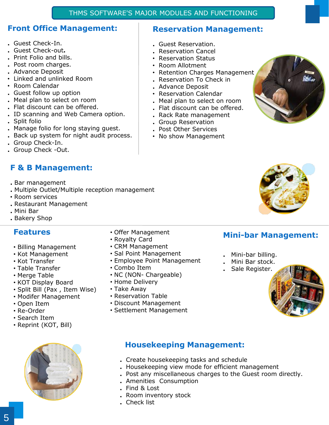#### THMS SOFTWARE'S MAJOR MODULES AND FUNCTIONING

#### **Front Office Management:**

- **.** Guest Check-In.
- **.** Guest Check-out**.**
- **.** Print Folio and bills.
- **.** Post room charges.
- **.** Advance Deposit
- Linked and unlinked Room
- Room Calendar
- **.** Guest follow up option
- **.** Meal plan to select on room
- **.** Flat discount can be offered.
- **.** ID scanning and Web Camera option.
- **.** Split folio
- **.** Manage folio for long staying guest.
- **.** Back up system for night audit process.
- **.** Group Check-In.
- **.** Group Check -Out.

## **F & B Management:**

- **.** Bar management
- **.** Multiple Outlet/Multiple reception management
- Room services
- **.** Restaurant Management
- **.** Mini Bar
- **.** Bakery Shop

## **Features**

- Billing Management
- Kot Management
- Kot Transfer
- Table Transfer
- Merge Table
- KOT Display Board
- Split Bill (Pax , Item Wise)
- Modifer Management
- Open Item
- Re-Order
- Search Item
- Reprint (KOT, Bill)



- Offer Management
- Royalty Card
- CRM Management
- Sal Point Management
- Employee Point Management
- Combo Item
- NC (NON- Chargeable)
- Home Delivery
- Take Away
- Reservation Table
- Discount Management
- Settlement Management

#### **Reservation Management:**

- **.** Guest Reservation.
- **.** Reservation Cancel
- Reservation Status
- Room Allotment
- Retention Charges Management
- **.** Reservation To Check in
- **.** Advance Deposit
- Reservation Calendar
- **.** Meal plan to select on room
- **.** Flat discount can be offered.
- **.** Rack Rate management
- **.** Group Reservation
- **.** Post Other Services
- No show Management



### **Mini-bar Management:**

- **.** Mini-bar billing.
- **.** Mini Bar stock.
- **.** Sale Register.



## **Housekeeping Management:**

- **.** Create housekeeping tasks and schedule
- **.** Housekeeping view mode for efficient management
- **.** Post any miscellaneous charges to the Guest room directly.
- **.** Amenities Consumption
- **.** Find & Lost
- **.** Room inventory stock
- **.** Check list



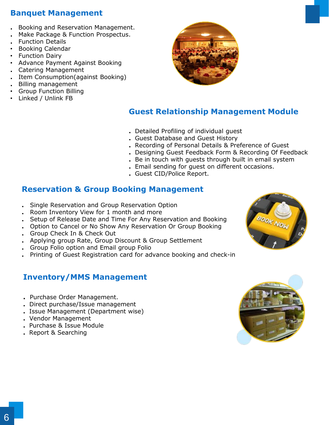## **Banquet Management**

- **.** Booking and Reservation Management.
- **.** Make Package & Function Prospectus.
- **.** Function Details
- Booking Calendar
- Function Dairy
- Advance Payment Against Booking
- **.** Catering Management
- **.** Item Consumption(against Booking)
- **.** Billing management
- Group Function Billing
- Linked / Unlink FB



### **Guest Relationship Management Module**

- **.** Detailed Profiling of individual guest
- **.** Guest Database and Guest History
- **.** Recording of Personal Details & Preference of Guest
- **.** Designing Guest Feedback Form & Recording Of Feedback
- **.** Be in touch with guests through built in email system
- **.** Email sending for guest on different occasions.
- **.** Guest CID/Police Report.

### **Reservation & Group Booking Management**

- **.** Single Reservation and Group Reservation Option
- **.** Room Inventory View for 1 month and more
- **.** Setup of Release Date and Time For Any Reservation and Booking
- **.** Option to Cancel or No Show Any Reservation Or Group Booking
- **.** Group Check In & Check Out
- **.** Applying group Rate, Group Discount & Group Settlement
- **.** Group Folio option and Email group Folio
- **.** Printing of Guest Registration card for advance booking and check-in

## **Inventory/MMS Management**

- **.** Purchase Order Management.
- **.** Direct purchase/Issue management
- **.** Issue Management (Department wise)
- **.** Vendor Management
- **.** Purchase & Issue Module
- **.** Report & Searching



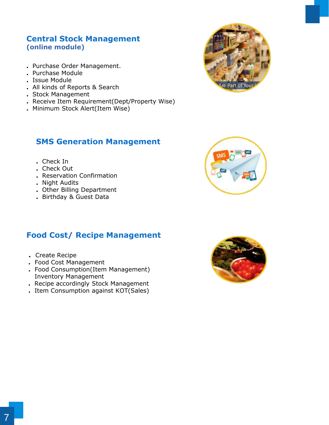#### **Central Stock Management (online module)**

- **.** Purchase Order Management.
- **.** Purchase Module
- **.** Issue Module
- **.** All kinds of Reports & Search
- **.** Stock Management
- **.** Receive Item Requirement(Dept/Property Wise)
- **.** Minimum Stock Alert(Item Wise)

### **SMS Generation Management**



- **.** Check In
- **.** Check Out
- **.** Reservation Confirmation
- **.** Night Audits
- **.** Other Billing Department
- **.** Birthday & Guest Data

## **Food Cost/ Recipe Management**

- **.** Create Recipe
- **.** Food Cost Management
- **.** Food Consumption(Item Management) Inventory Management
- **.** Recipe accordingly Stock Management
- **.** Item Consumption against KOT(Sales)

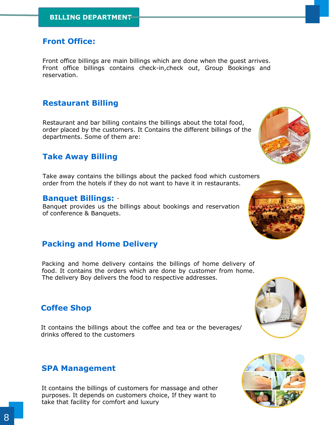### **Front Office:**

Front office billings are main billings which are done when the guest arrives. Front office billings contains check-in,check out, Group Bookings and reservation.

### **Restaurant Billing**

Restaurant and bar billing contains the billings about the total food, order placed by the customers. It Contains the different billings of the departments. Some of them are:

## **Take Away Billing**

Take away contains the billings about the packed food which customers order from the hotels if they do not want to have it in restaurants.

#### . **Banquet Billings:**

Banquet provides us the billings about bookings and reservation of conference & Banquets.

### **Packing and Home Delivery**

Packing and home delivery contains the billings of home delivery of food. It contains the orders which are done by customer from home. The delivery Boy delivers the food to respective addresses.

### **Coffee Shop**

It contains the billings about the coffee and tea or the beverages/ drinks offered to the customers

### **SPA Management**

It contains the billings of customers for massage and other purposes. It depends on customers choice, If they want to take that facility for comfort and luxury







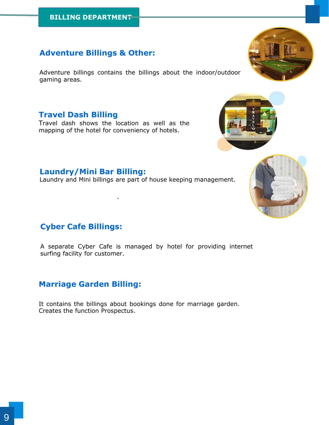## **Adventure Billings & Other:**

Adventure billings contains the billings about the indoor/outdoor gaming areas.

### **Travel Dash Billing**

Travel dash shows the location as well as the mapping of the hotel for conveniency of hotels.

.

Laundry and Mini billings are part of house keeping management.

# **Cyber Cafe Billings:**

**Laundry/Mini Bar Billing:**

A separate Cyber Cafe is managed by hotel for providing internet surfing facility for customer.

## **Marriage Garden Billing:**

It contains the billings about bookings done for marriage garden. Creates the function Prospectus.





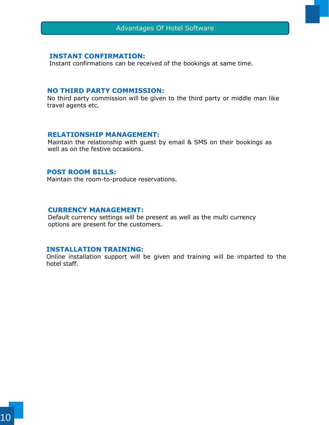#### **INSTANT CONFIRMATION:**

Instant confirmations can be received of the bookings at same time.

#### **NO THIRD PARTY COMMISSION:**

No third party commission will be given to the third party or middle man like travel agents etc.

#### **RELATIONSHIP MANAGEMENT:**

Maintain the relationship with guest by email & SMS on their bookings as well as on the festive occasions.

#### **POST ROOM BILLS:**

Maintain the room-to-produce reservations.

#### **CURRENCY MANAGEMENT:**

Default currency settings will be present as well as the multi currency options are present for the customers.

#### **INSTALLATION TRAINING:**

Online installation support will be given and training will be imparted to the hotel staff.